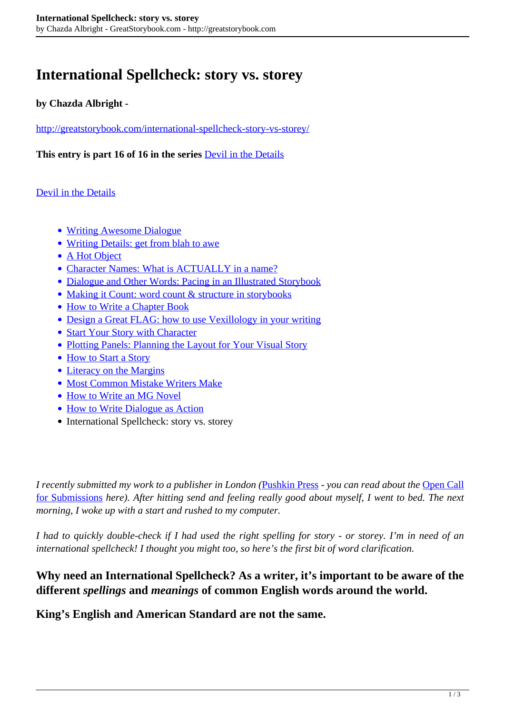# **International Spellcheck: story vs. storey**

#### **by Chazda Albright -**

<http://greatstorybook.com/international-spellcheck-story-vs-storey/>

**This entry is part 16 of 16 in the series** [Devil in the Details](http://greatstorybook.com/series/devil-in-the-details/)

#### [Devil in the Details](http://greatstorybook.com/series/devil-in-the-details/)

- [Writing Awesome Dialogue](http://greatstorybook.com/writing-awesome-dialogue/)
- [Writing Details: get from blah to awe](http://greatstorybook.com/writing-details-from-blah-to-awe/)
- [A Hot Object](http://greatstorybook.com/how-character-meets-plot-part-i-a-hot-object/)
- [Character Names: What is ACTUALLY in a name?](http://greatstorybook.com/what-is-actually-in-a-name/)
- [Dialogue and Other Words: Pacing in an Illustrated Storybook](http://greatstorybook.com/dialogue-and-other-words-pacing-in-an-illustrated-storybook/)
- [Making it Count: word count & structure in storybooks](http://greatstorybook.com/making-it-count-word-count-structure-in-storybooks/)
- [How to Write a Chapter Book](http://greatstorybook.com/how-to-write-a-chapter-book/)
- [Design a Great FLAG: how to use Vexillology in your writing](http://greatstorybook.com/designing-a-great-flag-how-to-use-vexillology-in-your-writing/)
- [Start Your Story with Character](http://greatstorybook.com/how-to-write-a-story-part-1-why-start-with-the-character/)
- [Plotting Panels: Planning the Layout for Your Visual Story](http://greatstorybook.com/plotting-panels-pre-preparing-your-visual-story/)
- [How to Start a Story](http://greatstorybook.com/how-to-start-a-story/)
- [Literacy on the Margins](http://greatstorybook.com/literacy-on-the-margins/)
- [Most Common Mistake Writers Make](http://greatstorybook.com/common-mistake-writers-make/)
- [How to Write an MG Novel](http://greatstorybook.com/write-mg-novel/)
- [How to Write Dialogue as Action](http://greatstorybook.com/make-dialogue-action/)
- International Spellcheck: story vs. storey

*I recently submitted my work to a publisher in London (*[Pushkin Press](http://pushkinpress.com/) *- you can read about the* [Open Call](http://greatstorybook.com/pushkin-press-open-submission-initiative-june-20-2016/) [for Submissions](http://greatstorybook.com/pushkin-press-open-submission-initiative-june-20-2016/) *here). After hitting send and feeling really good about myself, I went to bed. The next morning, I woke up with a start and rushed to my computer.* 

*I had to quickly double-check if I had used the right spelling for story - or storey. I'm in need of an international spellcheck! I thought you might too, so here's the first bit of word clarification.*

### **Why need an International Spellcheck? As a writer, it's important to be aware of the different** *spellings* **and** *meanings* **of common English words around the world.**

**King's English and American Standard are not the same.**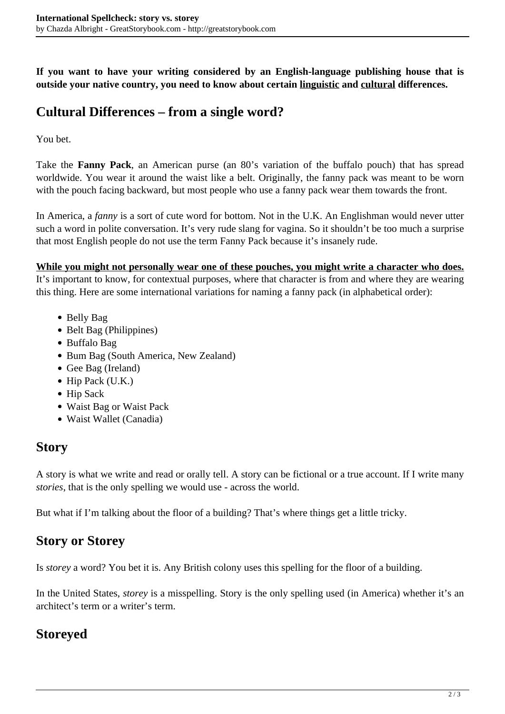**If you want to have your writing considered by an English-language publishing house that is outside your native country, you need to know about certain linguistic and cultural differences.**

### **Cultural Differences – from a single word?**

You bet.

Take the **Fanny Pack**, an American purse (an 80's variation of the buffalo pouch) that has spread worldwide. You wear it around the waist like a belt. Originally, the fanny pack was meant to be worn with the pouch facing backward, but most people who use a fanny pack wear them towards the front.

In America, a *fanny* is a sort of cute word for bottom. Not in the U.K. An Englishman would never utter such a word in polite conversation. It's very rude slang for vagina. So it shouldn't be too much a surprise that most English people do not use the term Fanny Pack because it's insanely rude.

**While you might not personally wear one of these pouches, you might write a character who does.** It's important to know, for contextual purposes, where that character is from and where they are wearing this thing. Here are some international variations for naming a fanny pack (in alphabetical order):

- Belly Bag
- Belt Bag (Philippines)
- Buffalo Bag
- Bum Bag (South America, New Zealand)
- Gee Bag (Ireland)
- $\bullet$  Hip Pack (U.K.)
- Hip Sack
- Waist Bag or Waist Pack
- Waist Wallet (Canadia)

### **Story**

A story is what we write and read or orally tell. A story can be fictional or a true account. If I write many *stories*, that is the only spelling we would use - across the world.

But what if I'm talking about the floor of a building? That's where things get a little tricky.

## **Story or Storey**

Is *storey* a word? You bet it is. Any British colony uses this spelling for the floor of a building.

In the United States, *storey* is a misspelling. Story is the only spelling used (in America) whether it's an architect's term or a writer's term.

## **Storeyed**